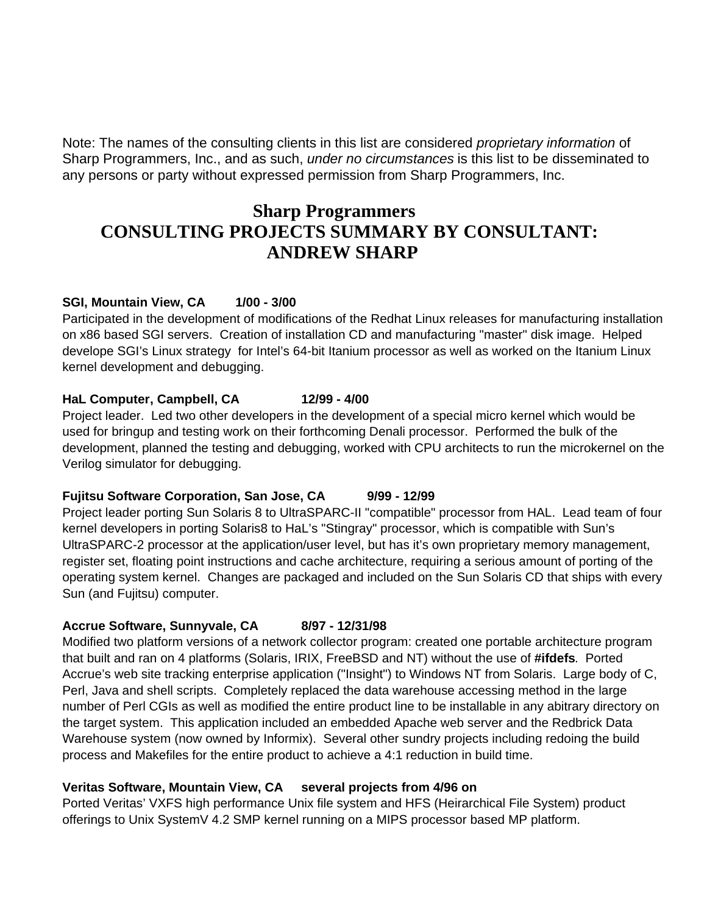Note: The names of the consulting clients in this list are considered *proprietary information* of Sharp Programmers, Inc., and as such, *under no circumstances* is this list to be disseminated to any persons or party without expressed permission from Sharp Programmers, Inc.

# **Sharp Programmers CONSULTING PROJECTS SUMMARY BY CONSULTANT: ANDREW SHARP**

# **SGI, Mountain View, CA 1/00 - 3/00**

Participated in the development of modifications of the Redhat Linux releases for manufacturing installation on x86 based SGI servers. Creation of installation CD and manufacturing "master" disk image. Helped develope SGI's Linux strategy for Intel's 64-bit Itanium processor as well as worked on the Itanium Linux kernel development and debugging.

### **HaL Computer, Campbell, CA 12/99 - 4/00**

Project leader. Led two other developers in the development of a special micro kernel which would be used for bringup and testing work on their forthcoming Denali processor. Performed the bulk of the development, planned the testing and debugging, worked with CPU architects to run the microkernel on the Verilog simulator for debugging.

# **Fujitsu Software Corporation, San Jose, CA 9/99 - 12/99**

Project leader porting Sun Solaris 8 to UltraSPARC-II "compatible" processor from HAL. Lead team of four kernel developers in porting Solaris8 to HaL's "Stingray" processor, which is compatible with Sun's UltraSPARC-2 processor at the application/user level, but has it's own proprietary memory management, register set, floating point instructions and cache architecture, requiring a serious amount of porting of the operating system kernel. Changes are packaged and included on the Sun Solaris CD that ships with every Sun (and Fujitsu) computer.

# **Accrue Software, Sunnyvale, CA 8/97 - 12/31/98**

Modified two platform versions of a network collector program: created one portable architecture program that built and ran on 4 platforms (Solaris, IRIX, FreeBSD and NT) without the use of **#ifdefs**. Ported Accrue's web site tracking enterprise application ("Insight") to Windows NT from Solaris. Large body of C, Perl, Java and shell scripts. Completely replaced the data warehouse accessing method in the large number of Perl CGIs as well as modified the entire product line to be installable in any abitrary directory on the target system. This application included an embedded Apache web server and the Redbrick Data Warehouse system (now owned by Informix). Several other sundry projects including redoing the build process and Makefiles for the entire product to achieve a 4:1 reduction in build time.

# **Veritas Software, Mountain View, CA several projects from 4/96 on**

Ported Veritas' VXFS high performance Unix file system and HFS (Heirarchical File System) product offerings to Unix SystemV 4.2 SMP kernel running on a MIPS processor based MP platform.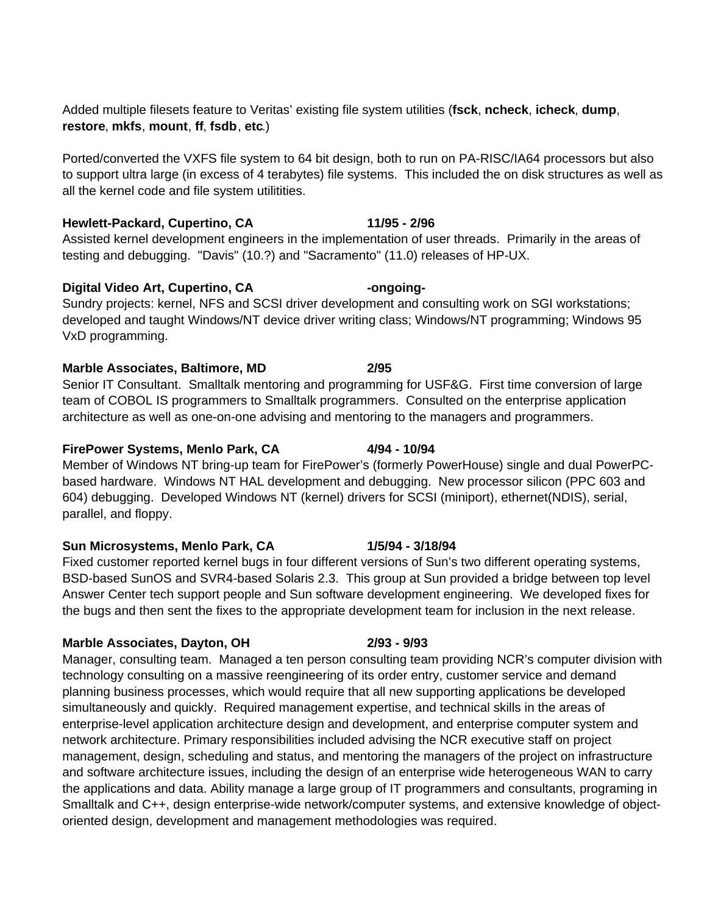Added multiple filesets feature to Veritas' existing file system utilities (**fsck**, **ncheck**, **icheck**, **dump**, **restore**, **mkfs**, **mount**, **ff**, **fsdb**, **etc**.)

Ported/converted the VXFS file system to 64 bit design, both to run on PA-RISC/IA64 processors but also to support ultra large (in excess of 4 terabytes) file systems. This included the on disk structures as well as all the kernel code and file system utilitities.

### **Hewlett-Packard, Cupertino, CA 11/95 - 2/96**

Assisted kernel development engineers in the implementation of user threads. Primarily in the areas of testing and debugging. "Davis" (10.?) and "Sacramento" (11.0) releases of HP-UX.

### **Digital Video Art, Cupertino, CA -ongoing-**

Sundry projects: kernel, NFS and SCSI driver development and consulting work on SGI workstations; developed and taught Windows/NT device driver writing class; Windows/NT programming; Windows 95 VxD programming.

# **Marble Associates, Baltimore, MD 2/95**

Senior IT Consultant. Smalltalk mentoring and programming for USF&G. First time conversion of large team of COBOL IS programmers to Smalltalk programmers. Consulted on the enterprise application architecture as well as one-on-one advising and mentoring to the managers and programmers.

### FirePower Systems, Menlo Park, CA 4/94 - 10/94

Member of Windows NT bring-up team for FirePower's (formerly PowerHouse) single and dual PowerPCbased hardware. Windows NT HAL development and debugging. New processor silicon (PPC 603 and 604) debugging. Developed Windows NT (kernel) drivers for SCSI (miniport), ethernet(NDIS), serial, parallel, and floppy.

# **Sun Microsystems, Menlo Park, CA 1/5/94 - 3/18/94**

Fixed customer reported kernel bugs in four different versions of Sun's two different operating systems, BSD-based SunOS and SVR4-based Solaris 2.3. This group at Sun provided a bridge between top level Answer Center tech support people and Sun software development engineering. We developed fixes for the bugs and then sent the fixes to the appropriate development team for inclusion in the next release.

# **Marble Associates, Dayton, OH 2/93 - 9/93**

Manager, consulting team. Managed a ten person consulting team providing NCR's computer division with technology consulting on a massive reengineering of its order entry, customer service and demand planning business processes, which would require that all new supporting applications be developed simultaneously and quickly. Required management expertise, and technical skills in the areas of enterprise-level application architecture design and development, and enterprise computer system and network architecture. Primary responsibilities included advising the NCR executive staff on project management, design, scheduling and status, and mentoring the managers of the project on infrastructure and software architecture issues, including the design of an enterprise wide heterogeneous WAN to carry the applications and data. Ability manage a large group of IT programmers and consultants, programing in Smalltalk and C++, design enterprise-wide network/computer systems, and extensive knowledge of objectoriented design, development and management methodologies was required.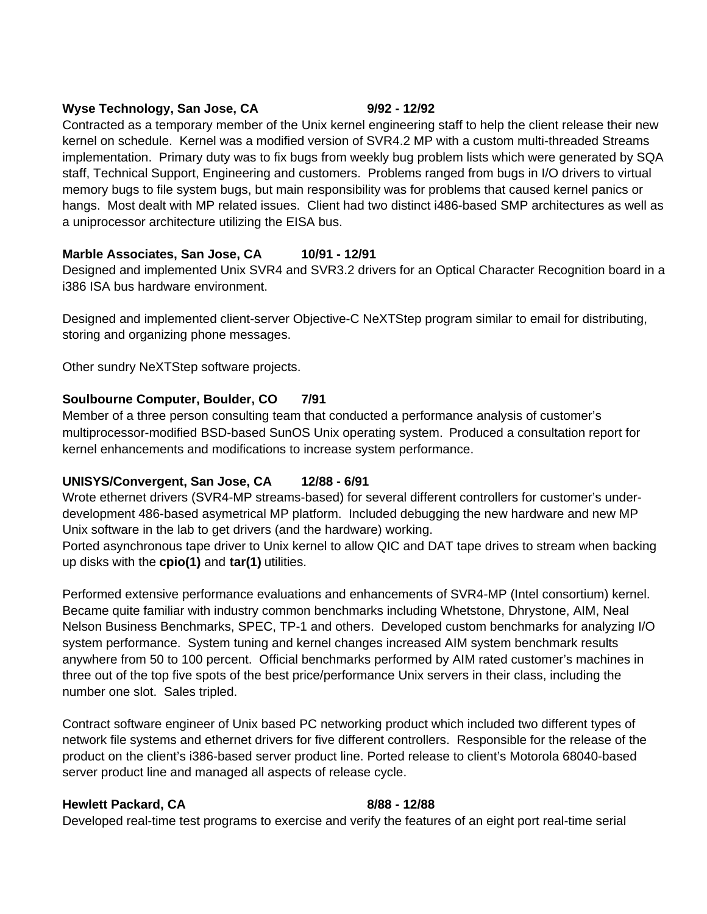### Wyse Technology, San Jose, CA 9/92 - 12/92

Contracted as a temporary member of the Unix kernel engineering staff to help the client release their new kernel on schedule. Kernel was a modified version of SVR4.2 MP with a custom multi-threaded Streams implementation. Primary duty was to fix bugs from weekly bug problem lists which were generated by SQA staff, Technical Support, Engineering and customers. Problems ranged from bugs in I/O drivers to virtual memory bugs to file system bugs, but main responsibility was for problems that caused kernel panics or hangs. Most dealt with MP related issues. Client had two distinct i486-based SMP architectures as well as a uniprocessor architecture utilizing the EISA bus.

# **Marble Associates, San Jose, CA 10/91 - 12/91**

Designed and implemented Unix SVR4 and SVR3.2 drivers for an Optical Character Recognition board in a i386 ISA bus hardware environment.

Designed and implemented client-server Objective-C NeXTStep program similar to email for distributing, storing and organizing phone messages.

Other sundry NeXTStep software projects.

# **Soulbourne Computer, Boulder, CO 7/91**

Member of a three person consulting team that conducted a performance analysis of customer's multiprocessor-modified BSD-based SunOS Unix operating system. Produced a consultation report for kernel enhancements and modifications to increase system performance.

# **UNISYS/Convergent, San Jose, CA 12/88 - 6/91**

Wrote ethernet drivers (SVR4-MP streams-based) for several different controllers for customer's underdevelopment 486-based asymetrical MP platform. Included debugging the new hardware and new MP Unix software in the lab to get drivers (and the hardware) working.

Ported asynchronous tape driver to Unix kernel to allow QIC and DAT tape drives to stream when backing up disks with the **cpio(1)** and **tar(1)** utilities.

Performed extensive performance evaluations and enhancements of SVR4-MP (Intel consortium) kernel. Became quite familiar with industry common benchmarks including Whetstone, Dhrystone, AIM, Neal Nelson Business Benchmarks, SPEC, TP-1 and others. Developed custom benchmarks for analyzing I/O system performance. System tuning and kernel changes increased AIM system benchmark results anywhere from 50 to 100 percent. Official benchmarks performed by AIM rated customer's machines in three out of the top five spots of the best price/performance Unix servers in their class, including the number one slot. Sales tripled.

Contract software engineer of Unix based PC networking product which included two different types of network file systems and ethernet drivers for five different controllers. Responsible for the release of the product on the client's i386-based server product line. Ported release to client's Motorola 68040-based server product line and managed all aspects of release cycle.

### **Hewlett Packard, CA** 8/88 - 12/88

Developed real-time test programs to exercise and verify the features of an eight port real-time serial